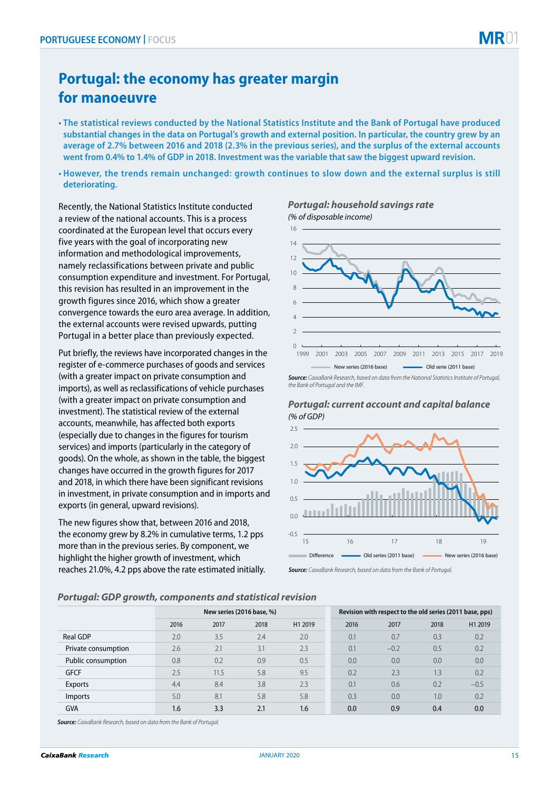## **Portugal: the economy has greater margin for manoeuvre**

- **The statistical reviews conducted by the National Statistics Institute and the Bank of Portugal have produced substantial changes in the data on Portugal's growth and external position. In particular, the country grew by an average of 2.7% between 2016 and 2018 (2.3% in the previous series), and the surplus of the external accounts went from 0.4% to 1.4% of GDP in 2018. Investment was the variable that saw the biggest upward revision.**
- **However, the trends remain unchanged: growth continues to slow down and the external surplus is still deteriorating.**

Recently, the National Statistics Institute conducted a review of the national accounts. This is a process coordinated at the European level that occurs every five years with the goal of incorporating new information and methodological improvements, namely reclassifications between private and public consumption expenditure and investment. For Portugal, this revision has resulted in an improvement in the growth figures since 2016, which show a greater convergence towards the euro area average. In addition, the external accounts were revised upwards, putting Portugal in a better place than previously expected.

Put briefly, the reviews have incorporated changes in the register of e-commerce purchases of goods and services (with a greater impact on private consumption and imports), as well as reclassifications of vehicle purchases (with a greater impact on private consumption and investment). The statistical review of the external accounts, meanwhile, has affected both exports (especially due to changes in the figures for tourism services) and imports (particularly in the category of goods). On the whole, as shown in the table, the biggest changes have occurred in the growth figures for 2017 and 2018, in which there have been significant revisions in investment, in private consumption and in imports and exports (in general, upward revisions).

The new figures show that, between 2016 and 2018, the economy grew by 8.2% in cumulative terms, 1.2 pps more than in the previous series. By component, we highlight the higher growth of investment, which reaches 21.0%, 4.2 pps above the rate estimated initially.

*Portugal: household savings rate (% of disposable income)*



*Source: CaixaBank Research, based on data from the National Statistics Institute of Portugal, the Bank of Portugal and the IMF.*

*(% of GDP) Portugal: current account and capital balance*



*Source: CaixaBank Research, based on data from the Bank of Portugal.*

## *Portugal: GDP growth, components and statistical revision*

|                     | New series (2016 base, %) |      |      |         | Revision with respect to the old series (2011 base, pps) |        |      |         |
|---------------------|---------------------------|------|------|---------|----------------------------------------------------------|--------|------|---------|
|                     | 2016                      | 2017 | 2018 | H1 2019 | 2016                                                     | 2017   | 2018 | H1 2019 |
| Real GDP            | 2.0                       | 3.5  | 2.4  | 2.0     | 0.1                                                      | 0.7    | 0.3  | 0.2     |
| Private consumption | 2.6                       | 2.1  | 3.1  | 2.3     | 0.1                                                      | $-0.2$ | 0.5  | 0.2     |
| Public consumption  | 0.8                       | 0.2  | 0.9  | 0.5     | 0.0                                                      | 0.0    | 0.0  | 0.0     |
| <b>GFCF</b>         | 2.5                       | 11.5 | 5.8  | 9.5     | 0.2                                                      | 2.3    | 1.3  | 0.2     |
| Exports             | 4.4                       | 8.4  | 3.8  | 2.3     | 0.1                                                      | 0.6    | 0.2  | $-0.5$  |
| <i>Imports</i>      | 5.0                       | 8.1  | 5.8  | 5.8     | 0.3                                                      | 0.0    | 1.0  | 0.2     |
| <b>GVA</b>          | 1.6                       | 3.3  | 2.1  | 1.6     | 0.0                                                      | 0.9    | 0.4  | 0.0     |

*Source: CaixaBank Research, based on data from the Bank of Portugal.*